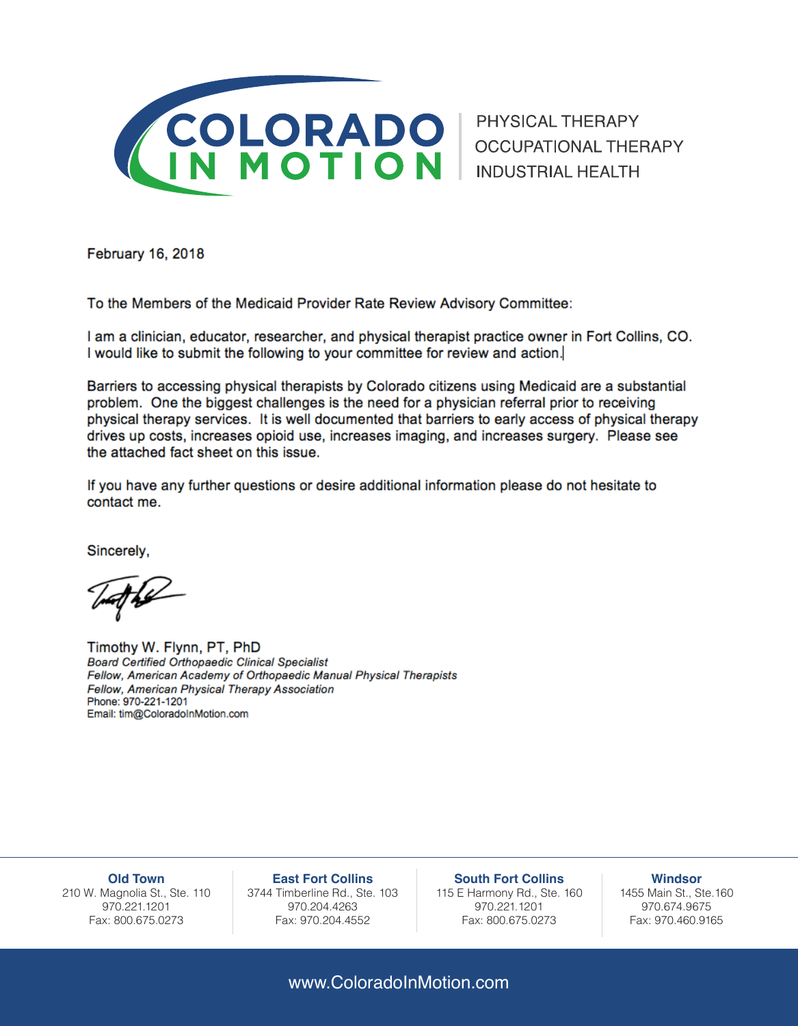

February 16, 2018

To the Members of the Medicaid Provider Rate Review Advisory Committee:

I am a clinician, educator, researcher, and physical therapist practice owner in Fort Collins, CO. I would like to submit the following to your committee for review and action.

Barriers to accessing physical therapists by Colorado citizens using Medicaid are a substantial problem. One the biggest challenges is the need for a physician referral prior to receiving physical therapy services. It is well documented that barriers to early access of physical therapy drives up costs, increases opioid use, increases imaging, and increases surgery. Please see the attached fact sheet on this issue.

If you have any further questions or desire additional information please do not hesitate to contact me.

Sincerely,

Timothy W. Flynn, PT, PhD **Board Certified Orthopaedic Clinical Specialist** Fellow, American Academy of Orthopaedic Manual Physical Therapists Fellow, American Physical Therapy Association Phone: 970-221-1201 Email: tim@ColoradoInMotion.com

**Old Town** 210 W. Magnolia St., Ste. 110 970.221.1201 Fax: 800.675.0273

**East Fort Collins** 3744 Timberline Rd., Ste. 103 970.204.4263 Fax: 970.204.4552

**South Fort Collins** 115 E Harmony Rd., Ste. 160 970.221.1201 Fax: 800.675.0273

**Windsor** 1455 Main St., Ste.160 970.674.9675 Fax: 970.460.9165

www.ColoradoInMotion.com